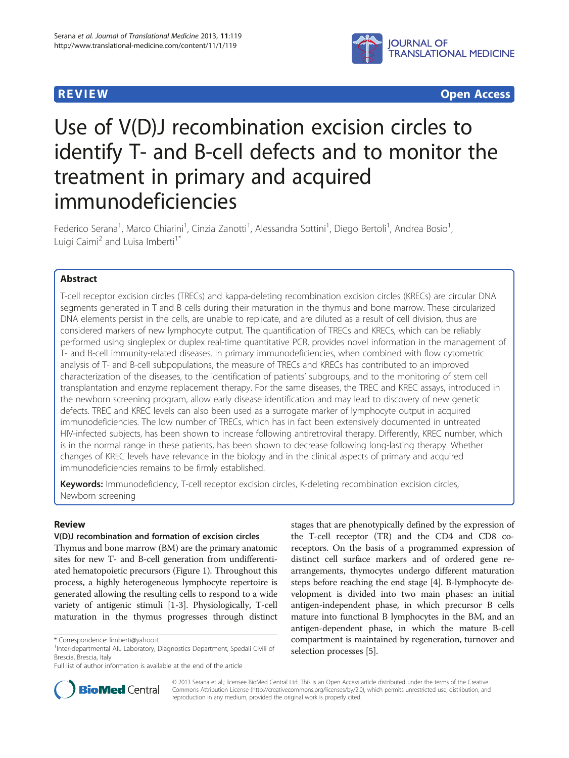

**REVIEW CONSTRUCTION CONSTRUCTION CONSTRUCTION CONSTRUCTS** 

# Use of V(D)J recombination excision circles to identify T- and B-cell defects and to monitor the treatment in primary and acquired immunodeficiencies

Federico Serana<sup>1</sup>, Marco Chiarini<sup>1</sup>, Cinzia Zanotti<sup>1</sup>, Alessandra Sottini<sup>1</sup>, Diego Bertoli<sup>1</sup>, Andrea Bosio<sup>1</sup> , Luigi Caimi<sup>2</sup> and Luisa Imberti<sup>1\*</sup>

# Abstract

T-cell receptor excision circles (TRECs) and kappa-deleting recombination excision circles (KRECs) are circular DNA segments generated in T and B cells during their maturation in the thymus and bone marrow. These circularized DNA elements persist in the cells, are unable to replicate, and are diluted as a result of cell division, thus are considered markers of new lymphocyte output. The quantification of TRECs and KRECs, which can be reliably performed using singleplex or duplex real-time quantitative PCR, provides novel information in the management of T- and B-cell immunity-related diseases. In primary immunodeficiencies, when combined with flow cytometric analysis of T- and B-cell subpopulations, the measure of TRECs and KRECs has contributed to an improved characterization of the diseases, to the identification of patients' subgroups, and to the monitoring of stem cell transplantation and enzyme replacement therapy. For the same diseases, the TREC and KREC assays, introduced in the newborn screening program, allow early disease identification and may lead to discovery of new genetic defects. TREC and KREC levels can also been used as a surrogate marker of lymphocyte output in acquired immunodeficiencies. The low number of TRECs, which has in fact been extensively documented in untreated HIV-infected subjects, has been shown to increase following antiretroviral therapy. Differently, KREC number, which is in the normal range in these patients, has been shown to decrease following long-lasting therapy. Whether changes of KREC levels have relevance in the biology and in the clinical aspects of primary and acquired immunodeficiencies remains to be firmly established.

Keywords: Immunodeficiency, T-cell receptor excision circles, K-deleting recombination excision circles, Newborn screening

# Review

# V(D)J recombination and formation of excision circles

Thymus and bone marrow (BM) are the primary anatomic sites for new T- and B-cell generation from undifferentiated hematopoietic precursors (Figure [1\)](#page-1-0). Throughout this process, a highly heterogeneous lymphocyte repertoire is generated allowing the resulting cells to respond to a wide variety of antigenic stimuli [[1-3\]](#page-7-0). Physiologically, T-cell maturation in the thymus progresses through distinct

stages that are phenotypically defined by the expression of the T-cell receptor (TR) and the CD4 and CD8 coreceptors. On the basis of a programmed expression of distinct cell surface markers and of ordered gene rearrangements, thymocytes undergo different maturation steps before reaching the end stage [[4](#page-7-0)]. B-lymphocyte development is divided into two main phases: an initial antigen-independent phase, in which precursor B cells mature into functional B lymphocytes in the BM, and an antigen-dependent phase, in which the mature B-cell compartment is maintained by regeneration, turnover and selection processes [\[5\]](#page-7-0).



© 2013 Serana et al.; licensee BioMed Central Ltd. This is an Open Access article distributed under the terms of the Creative Commons Attribution License [\(http://creativecommons.org/licenses/by/2.0\)](http://creativecommons.org/licenses/by/2.0), which permits unrestricted use, distribution, and reproduction in any medium, provided the original work is properly cited.

<sup>\*</sup> Correspondence: [limberti@yahoo.it](mailto:limberti@yahoo.it) <sup>1</sup>

<sup>&</sup>lt;sup>1</sup>Inter-departmental AIL Laboratory, Diagnostics Department, Spedali Civili of Brescia, Brescia, Italy

Full list of author information is available at the end of the article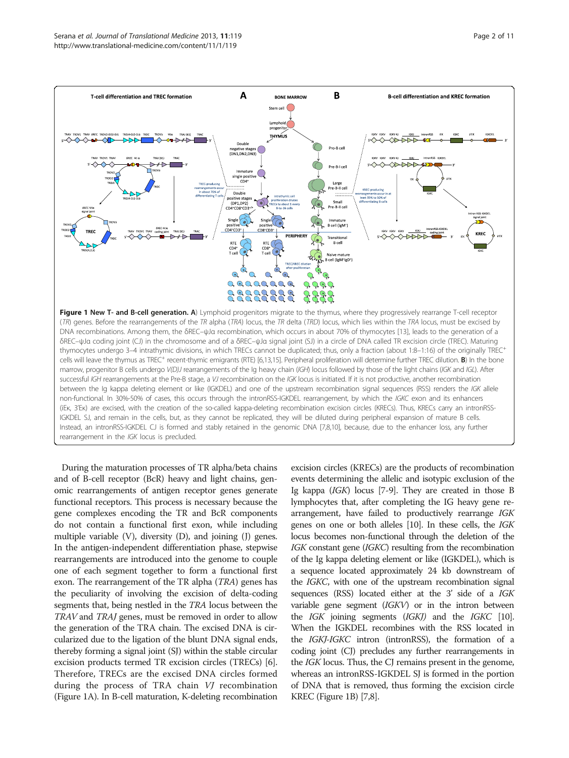<span id="page-1-0"></span>

(iEκ, 3'Eκ) are excised, with the creation of the so-called kappa-deleting recombination excision circles (KRECs). Thus, KRECs carry an intronRSS-IGKDEL SJ, and remain in the cells, but, as they cannot be replicated, they will be diluted during peripheral expansion of mature B cells. Instead, an intronRSS-IGKDEL CJ is formed and stably retained in the genomic DNA [7,8,10], because, due to the enhancer loss, any further rearrangement in the IGK locus is precluded.

During the maturation processes of TR alpha/beta chains and of B-cell receptor (BcR) heavy and light chains, genomic rearrangements of antigen receptor genes generate functional receptors. This process is necessary because the gene complexes encoding the TR and BcR components do not contain a functional first exon, while including multiple variable  $(V)$ , diversity  $(D)$ , and joining  $(J)$  genes. In the antigen-independent differentiation phase, stepwise rearrangements are introduced into the genome to couple one of each segment together to form a functional first exon. The rearrangement of the TR alpha (TRA) genes has the peculiarity of involving the excision of delta-coding segments that, being nestled in the TRA locus between the TRAV and TRAJ genes, must be removed in order to allow the generation of the TRA chain. The excised DNA is circularized due to the ligation of the blunt DNA signal ends, thereby forming a signal joint (SJ) within the stable circular excision products termed TR excision circles (TRECs) [[6](#page-7-0)]. Therefore, TRECs are the excised DNA circles formed during the process of TRA chain VJ recombination (Figure 1A). In B-cell maturation, K-deleting recombination

excision circles (KRECs) are the products of recombination events determining the allelic and isotypic exclusion of the Ig kappa (IGK) locus [\[7-9\]](#page-7-0). They are created in those B lymphocytes that, after completing the IG heavy gene rearrangement, have failed to productively rearrange IGK genes on one or both alleles [[10](#page-7-0)]. In these cells, the IGK locus becomes non-functional through the deletion of the IGK constant gene (IGKC) resulting from the recombination of the Ig kappa deleting element or like (IGKDEL), which is a sequence located approximately 24 kb downstream of the IGKC, with one of the upstream recombination signal sequences (RSS) located either at the 3' side of a IGK variable gene segment (IGKV) or in the intron between the IGK joining segments (IGKJ) and the IGKC [\[10\]](#page-7-0). When the IGKDEL recombines with the RSS located in the IGKJ-IGKC intron (intronRSS), the formation of a coding joint (CJ) precludes any further rearrangements in the IGK locus. Thus, the CJ remains present in the genome, whereas an intronRSS-IGKDEL SJ is formed in the portion of DNA that is removed, thus forming the excision circle KREC (Figure 1B) [[7,8](#page-7-0)].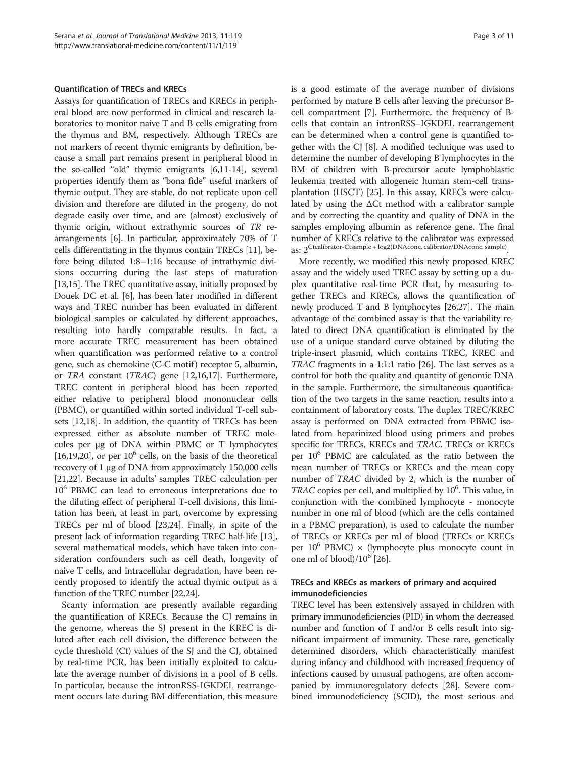#### Quantification of TRECs and KRECs

Assays for quantification of TRECs and KRECs in peripheral blood are now performed in clinical and research laboratories to monitor naive T and B cells emigrating from the thymus and BM, respectively. Although TRECs are not markers of recent thymic emigrants by definition, because a small part remains present in peripheral blood in the so-called "old" thymic emigrants [[6,11](#page-7-0)-[14](#page-7-0)], several properties identify them as "bona fide" useful markers of thymic output. They are stable, do not replicate upon cell division and therefore are diluted in the progeny, do not degrade easily over time, and are (almost) exclusively of thymic origin, without extrathymic sources of TR rearrangements [[6\]](#page-7-0). In particular, approximately 70% of T cells differentiating in the thymus contain TRECs [\[11\]](#page-7-0), before being diluted 1:8–1:16 because of intrathymic divisions occurring during the last steps of maturation [[13,15](#page-7-0)]. The TREC quantitative assay, initially proposed by Douek DC et al. [\[6](#page-7-0)], has been later modified in different ways and TREC number has been evaluated in different biological samples or calculated by different approaches, resulting into hardly comparable results. In fact, a more accurate TREC measurement has been obtained when quantification was performed relative to a control gene, such as chemokine (C-C motif) receptor 5, albumin, or TRA constant (TRAC) gene [\[12,16,17](#page-7-0)]. Furthermore, TREC content in peripheral blood has been reported either relative to peripheral blood mononuclear cells (PBMC), or quantified within sorted individual T-cell subsets [\[12,18\]](#page-7-0). In addition, the quantity of TRECs has been expressed either as absolute number of TREC molecules per μg of DNA within PBMC or T lymphocytes [[16,19,20\]](#page-7-0), or per  $10^6$  cells, on the basis of the theoretical recovery of 1 μg of DNA from approximately 150,000 cells [[21,22](#page-7-0)]. Because in adults' samples TREC calculation per 106 PBMC can lead to erroneous interpretations due to the diluting effect of peripheral T-cell divisions, this limitation has been, at least in part, overcome by expressing TRECs per ml of blood [\[23,24\]](#page-7-0). Finally, in spite of the present lack of information regarding TREC half-life [[13](#page-7-0)], several mathematical models, which have taken into consideration confounders such as cell death, longevity of naive T cells, and intracellular degradation, have been recently proposed to identify the actual thymic output as a function of the TREC number [\[22,24\]](#page-7-0).

Scanty information are presently available regarding the quantification of KRECs. Because the CJ remains in the genome, whereas the SJ present in the KREC is diluted after each cell division, the difference between the cycle threshold (Ct) values of the SJ and the CJ, obtained by real-time PCR, has been initially exploited to calculate the average number of divisions in a pool of B cells. In particular, because the intronRSS-IGKDEL rearrangement occurs late during BM differentiation, this measure is a good estimate of the average number of divisions performed by mature B cells after leaving the precursor Bcell compartment [\[7](#page-7-0)]. Furthermore, the frequency of Bcells that contain an intronRSS–IGKDEL rearrangement can be determined when a control gene is quantified together with the CJ [[8\]](#page-7-0). A modified technique was used to determine the number of developing B lymphocytes in the BM of children with B-precursor acute lymphoblastic leukemia treated with allogeneic human stem-cell transplantation (HSCT) [[25\]](#page-7-0). In this assay, KRECs were calculated by using the  $\Delta$ Ct method with a calibrator sample and by correcting the quantity and quality of DNA in the samples employing albumin as reference gene. The final number of KRECs relative to the calibrator was expressed as: 2Ctcalibrator-Ctsample + log2(DNAconc. calibrator/DNAconc. sample).

More recently, we modified this newly proposed KREC assay and the widely used TREC assay by setting up a duplex quantitative real-time PCR that, by measuring together TRECs and KRECs, allows the quantification of newly produced T and B lymphocytes [\[26,27](#page-7-0)]. The main advantage of the combined assay is that the variability related to direct DNA quantification is eliminated by the use of a unique standard curve obtained by diluting the triple-insert plasmid, which contains TREC, KREC and TRAC fragments in a 1:1:1 ratio [\[26\]](#page-7-0). The last serves as a control for both the quality and quantity of genomic DNA in the sample. Furthermore, the simultaneous quantification of the two targets in the same reaction, results into a containment of laboratory costs. The duplex TREC/KREC assay is performed on DNA extracted from PBMC isolated from heparinized blood using primers and probes specific for TRECs, KRECs and TRAC. TRECs or KRECs per 10<sup>6</sup> PBMC are calculated as the ratio between the mean number of TRECs or KRECs and the mean copy number of TRAC divided by 2, which is the number of TRAC copies per cell, and multiplied by 10<sup>6</sup>. This value, in conjunction with the combined lymphocyte - monocyte number in one ml of blood (which are the cells contained in a PBMC preparation), is used to calculate the number of TRECs or KRECs per ml of blood (TRECs or KRECs per  $10^6$  PBMC)  $\times$  (lymphocyte plus monocyte count in one ml of blood)/ $10^6$  [\[26\]](#page-7-0).

## TRECs and KRECs as markers of primary and acquired immunodeficiencies

TREC level has been extensively assayed in children with primary immunodeficiencies (PID) in whom the decreased number and function of T and/or B cells result into significant impairment of immunity. These rare, genetically determined disorders, which characteristically manifest during infancy and childhood with increased frequency of infections caused by unusual pathogens, are often accompanied by immunoregulatory defects [[28](#page-7-0)]. Severe combined immunodeficiency (SCID), the most serious and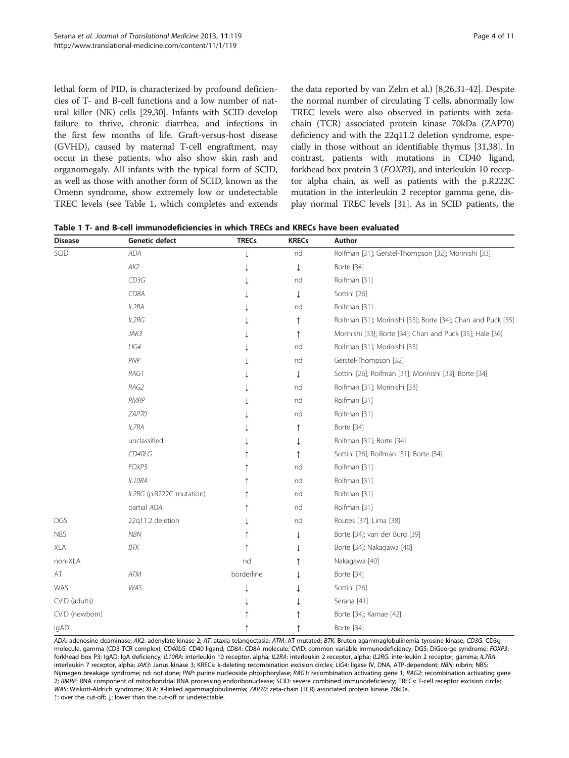<span id="page-3-0"></span>lethal form of PID, is characterized by profound deficiencies of T- and B-cell functions and a low number of natural killer (NK) cells [\[29,30\]](#page-7-0). Infants with SCID develop failure to thrive, chronic diarrhea, and infections in the first few months of life. Graft-versus-host disease (GVHD), caused by maternal T-cell engraftment, may occur in these patients, who also show skin rash and organomegaly. All infants with the typical form of SCID, as well as those with another form of SCID, known as the Omenn syndrome, show extremely low or undetectable TREC levels (see Table 1, which completes and extends the data reported by van Zelm et al.) [\[8,26](#page-7-0),[31](#page-7-0)-[42](#page-8-0)]. Despite the normal number of circulating T cells, abnormally low TREC levels were also observed in patients with zetachain (TCR) associated protein kinase 70kDa (ZAP70) deficiency and with the 22q11.2 deletion syndrome, especially in those without an identifiable thymus [[31](#page-7-0)[,38\]](#page-8-0). In contrast, patients with mutations in CD40 ligand, forkhead box protein 3 (FOXP3), and interleukin 10 receptor alpha chain, as well as patients with the p.R222C mutation in the interleukin 2 receptor gamma gene, display normal TREC levels [[31](#page-7-0)]. As in SCID patients, the

| Table 1 T- and B-cell immunodeficiencies in which TRECs and KRECs have been evaluated |  |
|---------------------------------------------------------------------------------------|--|
|---------------------------------------------------------------------------------------|--|

| <b>Disease</b> | Genetic defect           | <b>TRECs</b> | <b>KRECs</b> | Author                                                       |
|----------------|--------------------------|--------------|--------------|--------------------------------------------------------------|
| SCID           | <b>ADA</b>               |              | nd           | Roifman [31]; Gerstel-Thompson [32]; Morinishi [33]          |
|                | AK2                      |              | J            | Borte [34]                                                   |
|                | CD3G                     |              | nd           | Roifman [31]                                                 |
|                | CD8A                     |              | $\downarrow$ | Sottini [26]                                                 |
|                | IL2RA                    |              | nd           | Roifman [31]                                                 |
|                | IL2RG                    |              | ↑            | Roifman [31]; Morinishi [33]; Borte [34]; Chan and Puck [35] |
|                | JAK3                     |              | ↑            | Morinishi [33]; Borte [34]; Chan and Puck [35]; Hale [36]    |
|                | LIG4                     |              | nd           | Roifman [31]; Morinishi [33]                                 |
|                | <b>PNP</b>               |              | nd           | Gerstel-Thompson [32]                                        |
|                | RAG1                     |              | $\downarrow$ | Sottini [26]; Roifman [31]; Morinishi [33]; Borte [34]       |
|                | RAG2                     |              | nd           | Roifman [31]; Morinishi [33]                                 |
|                | RMRP                     |              | nd           | Roifman [31]                                                 |
|                | ZAP70                    |              | nd           | Roifman [31]                                                 |
|                | IL7RA                    |              | ↑            | Borte [34]                                                   |
|                | unclassified             |              |              | Roifman [31]; Borte [34]                                     |
|                | CD40LG                   |              | ↑            | Sottini [26]; Roifman [31]; Borte [34]                       |
|                | FOXP3                    |              | nd           | Roifman [31]                                                 |
|                | IL <sub>10RA</sub>       |              | nd           | Roifman [31]                                                 |
|                | IL2RG (p.R222C mutation) |              | nd           | Roifman [31]                                                 |
|                | partial ADA              |              | nd           | Roifman [31]                                                 |
| <b>DGS</b>     | 22q11.2 deletion         |              | nd           | Routes [37]; Lima [38]                                       |
| <b>NBS</b>     | NBN                      |              |              | Borte [34]; van der Burg [39]                                |
| XLA            | BTK                      | ↑            |              | Borte [34]; Nakagawa [40]                                    |
| non-XLA        |                          | nd           |              | Nakagawa [40]                                                |
| AT             | <b>ATM</b>               | borderline   |              | Borte [34]                                                   |
| WAS            | WAS                      |              |              | Sottini [26]                                                 |
| CVID (adults)  |                          |              |              | Serana [41]                                                  |
| CVID (newborn) |                          |              |              | Borte [34]; Kamae [42]                                       |
| IgAD           |                          |              |              | Borte [34]                                                   |

ADA: adenosine deaminase; AK2: adenylate kinase 2; AT: ataxia-telangectasia; ATM: AT mutated; BTK: Bruton agammaglobulinemia tyrosine kinase; CD3G: CD3g molecule, gamma (CD3-TCR complex); CD40LG: CD40 ligand; CD8A: CD8A molecule; CVID: common variable immunodeficiency; DGS: DiGeorge syndrome; FOXP3: forkhead box P3; IgAD: IgA deficiency; IL10RA: interleukin 10 receptor, alpha; IL2RA: interleukin 2 receptor, alpha; IL2RG: interleukin 2 receptor, gamma; IL7RA: interleukin 7 receptor, alpha; JAK3: Janus kinase 3; KRECs: k-deleting recombination excision circles; LIG4: ligase IV, DNA, ATP-dependent; NBN: nibrin; NBS: Nijmegen breakage syndrome; nd: not done; PNP: purine nucleoside phosphorylase; RAG1: recombination activating gene 1; RAG2: recombination activating gene 2; RMRP: RNA component of mitochondrial RNA processing endoribonuclease; SCID: severe combined immunodeficiency; TRECs: T-cell receptor excision circle; WAS: Wiskott-Aldrich syndrome; XLA: X-linked agammaglobulinemia; ZAP70: zeta-chain (TCR) associated protein kinase 70kDa. ↑: over the cut-off; ↓: lower than the cut-off or undetectable.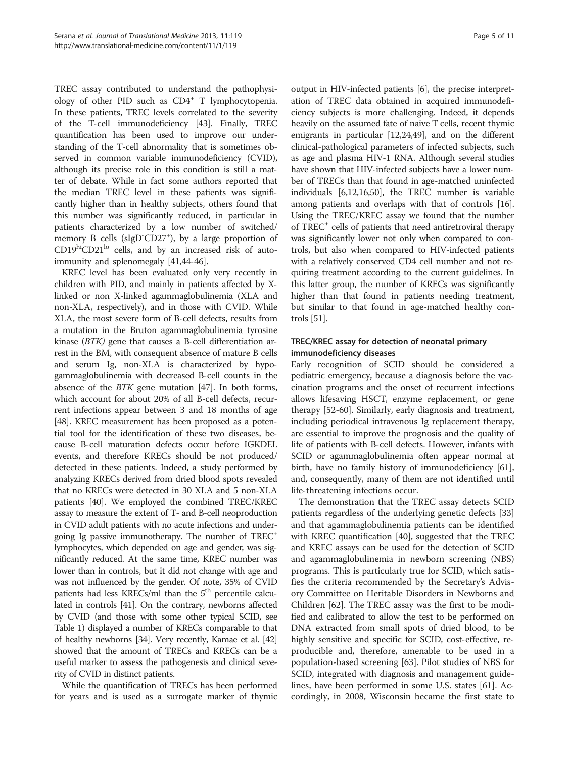TREC assay contributed to understand the pathophysiology of other PID such as CD4<sup>+</sup> T lymphocytopenia. In these patients, TREC levels correlated to the severity of the T-cell immunodeficiency [[43](#page-8-0)]. Finally, TREC quantification has been used to improve our understanding of the T-cell abnormality that is sometimes observed in common variable immunodeficiency (CVID), although its precise role in this condition is still a matter of debate. While in fact some authors reported that the median TREC level in these patients was significantly higher than in healthy subjects, others found that this number was significantly reduced, in particular in patients characterized by a low number of switched/ memory B cells (sIgD<sup>-</sup>CD27<sup>+</sup>), by a large proportion of CD19hiCD21<sup>lo</sup> cells, and by an increased risk of autoimmunity and splenomegaly [[41,44-46\]](#page-8-0).

KREC level has been evaluated only very recently in children with PID, and mainly in patients affected by Xlinked or non X-linked agammaglobulinemia (XLA and non-XLA, respectively), and in those with CVID. While XLA, the most severe form of B-cell defects, results from a mutation in the Bruton agammaglobulinemia tyrosine kinase (BTK) gene that causes a B-cell differentiation arrest in the BM, with consequent absence of mature B cells and serum Ig, non-XLA is characterized by hypogammaglobulinemia with decreased B-cell counts in the absence of the BTK gene mutation [\[47](#page-8-0)]. In both forms, which account for about 20% of all B-cell defects, recurrent infections appear between 3 and 18 months of age [[48](#page-8-0)]. KREC measurement has been proposed as a potential tool for the identification of these two diseases, because B-cell maturation defects occur before IGKDEL events, and therefore KRECs should be not produced/ detected in these patients. Indeed, a study performed by analyzing KRECs derived from dried blood spots revealed that no KRECs were detected in 30 XLA and 5 non-XLA patients [\[40\]](#page-8-0). We employed the combined TREC/KREC assay to measure the extent of T- and B-cell neoproduction in CVID adult patients with no acute infections and undergoing Ig passive immunotherapy. The number of TREC+ lymphocytes, which depended on age and gender, was significantly reduced. At the same time, KREC number was lower than in controls, but it did not change with age and was not influenced by the gender. Of note, 35% of CVID patients had less KRECs/ml than the  $5<sup>th</sup>$  percentile calculated in controls [\[41](#page-8-0)]. On the contrary, newborns affected by CVID (and those with some other typical SCID, see Table [1\)](#page-3-0) displayed a number of KRECs comparable to that of healthy newborns [[34](#page-7-0)]. Very recently, Kamae et al. [\[42](#page-8-0)] showed that the amount of TRECs and KRECs can be a useful marker to assess the pathogenesis and clinical severity of CVID in distinct patients.

While the quantification of TRECs has been performed for years and is used as a surrogate marker of thymic

output in HIV-infected patients [[6\]](#page-7-0), the precise interpretation of TREC data obtained in acquired immunodeficiency subjects is more challenging. Indeed, it depends heavily on the assumed fate of naive T cells, recent thymic emigrants in particular [[12,24](#page-7-0)[,49\]](#page-8-0), and on the different clinical-pathological parameters of infected subjects, such as age and plasma HIV-1 RNA. Although several studies have shown that HIV-infected subjects have a lower number of TRECs than that found in age-matched uninfected individuals [\[6,12,16](#page-7-0)[,50](#page-8-0)], the TREC number is variable among patients and overlaps with that of controls [[16](#page-7-0)]. Using the TREC/KREC assay we found that the number of TREC<sup>+</sup> cells of patients that need antiretroviral therapy was significantly lower not only when compared to controls, but also when compared to HIV-infected patients with a relatively conserved CD4 cell number and not requiring treatment according to the current guidelines. In this latter group, the number of KRECs was significantly higher than that found in patients needing treatment, but similar to that found in age-matched healthy controls [\[51\]](#page-8-0).

# TREC/KREC assay for detection of neonatal primary immunodeficiency diseases

Early recognition of SCID should be considered a pediatric emergency, because a diagnosis before the vaccination programs and the onset of recurrent infections allows lifesaving HSCT, enzyme replacement, or gene therapy [[52-60\]](#page-8-0). Similarly, early diagnosis and treatment, including periodical intravenous Ig replacement therapy, are essential to improve the prognosis and the quality of life of patients with B-cell defects. However, infants with SCID or agammaglobulinemia often appear normal at birth, have no family history of immunodeficiency [\[61](#page-8-0)], and, consequently, many of them are not identified until life-threatening infections occur.

The demonstration that the TREC assay detects SCID patients regardless of the underlying genetic defects [[33](#page-7-0)] and that agammaglobulinemia patients can be identified with KREC quantification [\[40](#page-8-0)], suggested that the TREC and KREC assays can be used for the detection of SCID and agammaglobulinemia in newborn screening (NBS) programs. This is particularly true for SCID, which satisfies the criteria recommended by the Secretary's Advisory Committee on Heritable Disorders in Newborns and Children [[62\]](#page-8-0). The TREC assay was the first to be modified and calibrated to allow the test to be performed on DNA extracted from small spots of dried blood, to be highly sensitive and specific for SCID, cost-effective, reproducible and, therefore, amenable to be used in a population-based screening [\[63](#page-8-0)]. Pilot studies of NBS for SCID, integrated with diagnosis and management guidelines, have been performed in some U.S. states [\[61](#page-8-0)]. Accordingly, in 2008, Wisconsin became the first state to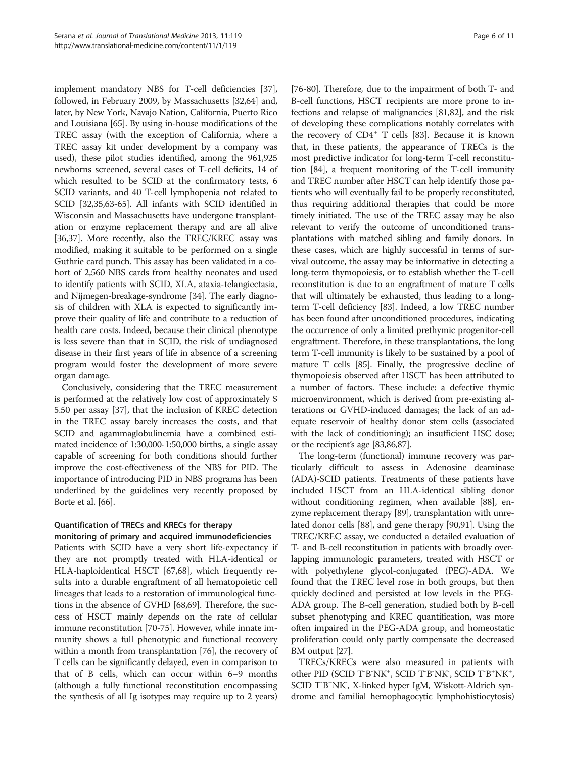implement mandatory NBS for T-cell deficiencies [[37](#page-8-0)], followed, in February 2009, by Massachusetts [\[32,](#page-7-0)[64](#page-8-0)] and, later, by New York, Navajo Nation, California, Puerto Rico and Louisiana [\[65\]](#page-8-0). By using in-house modifications of the TREC assay (with the exception of California, where a TREC assay kit under development by a company was used), these pilot studies identified, among the 961,925 newborns screened, several cases of T-cell deficits, 14 of which resulted to be SCID at the confirmatory tests, 6 SCID variants, and 40 T-cell lymphopenia not related to SCID [\[32](#page-7-0)[,35,63](#page-8-0)-[65\]](#page-8-0). All infants with SCID identified in Wisconsin and Massachusetts have undergone transplantation or enzyme replacement therapy and are all alive [[36,37](#page-8-0)]. More recently, also the TREC/KREC assay was modified, making it suitable to be performed on a single Guthrie card punch. This assay has been validated in a cohort of 2,560 NBS cards from healthy neonates and used to identify patients with SCID, XLA, ataxia-telangiectasia, and Nijmegen-breakage-syndrome [\[34\]](#page-7-0). The early diagnosis of children with XLA is expected to significantly improve their quality of life and contribute to a reduction of health care costs. Indeed, because their clinical phenotype is less severe than that in SCID, the risk of undiagnosed disease in their first years of life in absence of a screening program would foster the development of more severe organ damage.

Conclusively, considering that the TREC measurement is performed at the relatively low cost of approximately \$ 5.50 per assay [\[37](#page-8-0)], that the inclusion of KREC detection in the TREC assay barely increases the costs, and that SCID and agammaglobulinemia have a combined estimated incidence of 1:30,000-1:50,000 births, a single assay capable of screening for both conditions should further improve the cost-effectiveness of the NBS for PID. The importance of introducing PID in NBS programs has been underlined by the guidelines very recently proposed by Borte et al. [[66](#page-8-0)].

# Quantification of TRECs and KRECs for therapy monitoring of primary and acquired immunodeficiencies

Patients with SCID have a very short life-expectancy if they are not promptly treated with HLA-identical or HLA-haploidentical HSCT [\[67,68\]](#page-8-0), which frequently results into a durable engraftment of all hematopoietic cell lineages that leads to a restoration of immunological functions in the absence of GVHD [[68,69\]](#page-8-0). Therefore, the success of HSCT mainly depends on the rate of cellular immune reconstitution [[70](#page-8-0)-[75](#page-9-0)]. However, while innate immunity shows a full phenotypic and functional recovery within a month from transplantation [[76](#page-9-0)], the recovery of T cells can be significantly delayed, even in comparison to that of B cells, which can occur within 6–9 months (although a fully functional reconstitution encompassing the synthesis of all Ig isotypes may require up to 2 years)

[[76](#page-9-0)-[80\]](#page-9-0). Therefore, due to the impairment of both T- and B-cell functions, HSCT recipients are more prone to infections and relapse of malignancies [\[81,82](#page-9-0)], and the risk of developing these complications notably correlates with the recovery of  $CD4^+$  T cells [[83](#page-9-0)]. Because it is known that, in these patients, the appearance of TRECs is the most predictive indicator for long-term T-cell reconstitution [\[84\]](#page-9-0), a frequent monitoring of the T-cell immunity and TREC number after HSCT can help identify those patients who will eventually fail to be properly reconstituted, thus requiring additional therapies that could be more timely initiated. The use of the TREC assay may be also relevant to verify the outcome of unconditioned transplantations with matched sibling and family donors. In these cases, which are highly successful in terms of survival outcome, the assay may be informative in detecting a long-term thymopoiesis, or to establish whether the T-cell reconstitution is due to an engraftment of mature T cells that will ultimately be exhausted, thus leading to a longterm T-cell deficiency [[83\]](#page-9-0). Indeed, a low TREC number has been found after unconditioned procedures, indicating the occurrence of only a limited prethymic progenitor-cell engraftment. Therefore, in these transplantations, the long term T-cell immunity is likely to be sustained by a pool of mature T cells [[85](#page-9-0)]. Finally, the progressive decline of thymopoiesis observed after HSCT has been attributed to a number of factors. These include: a defective thymic microenvironment, which is derived from pre-existing alterations or GVHD-induced damages; the lack of an adequate reservoir of healthy donor stem cells (associated with the lack of conditioning); an insufficient HSC dose; or the recipient's age [[83,86,87\]](#page-9-0).

The long-term (functional) immune recovery was particularly difficult to assess in Adenosine deaminase (ADA)-SCID patients. Treatments of these patients have included HSCT from an HLA-identical sibling donor without conditioning regimen, when available [\[88](#page-9-0)], enzyme replacement therapy [[89](#page-9-0)], transplantation with unrelated donor cells [\[88\]](#page-9-0), and gene therapy [\[90,91\]](#page-9-0). Using the TREC/KREC assay, we conducted a detailed evaluation of T- and B-cell reconstitution in patients with broadly overlapping immunologic parameters, treated with HSCT or with polyethylene glycol-conjugated (PEG)-ADA. We found that the TREC level rose in both groups, but then quickly declined and persisted at low levels in the PEG-ADA group. The B-cell generation, studied both by B-cell subset phenotyping and KREC quantification, was more often impaired in the PEG-ADA group, and homeostatic proliferation could only partly compensate the decreased BM output [[27](#page-7-0)].

TRECs/KRECs were also measured in patients with other PID (SCID T<sup>-B-</sup>NK<sup>+</sup>, SCID T<sup>-</sup>B<sup>-</sup>NK<sup>+</sup>, SCID T<sup>-B+</sup>NK<sup>+</sup>, SCID T<sup>-</sup>B<sup>+</sup>NK<sup>-</sup>, X-linked hyper IgM, Wiskott-Aldrich syndrome and familial hemophagocytic lymphohistiocytosis)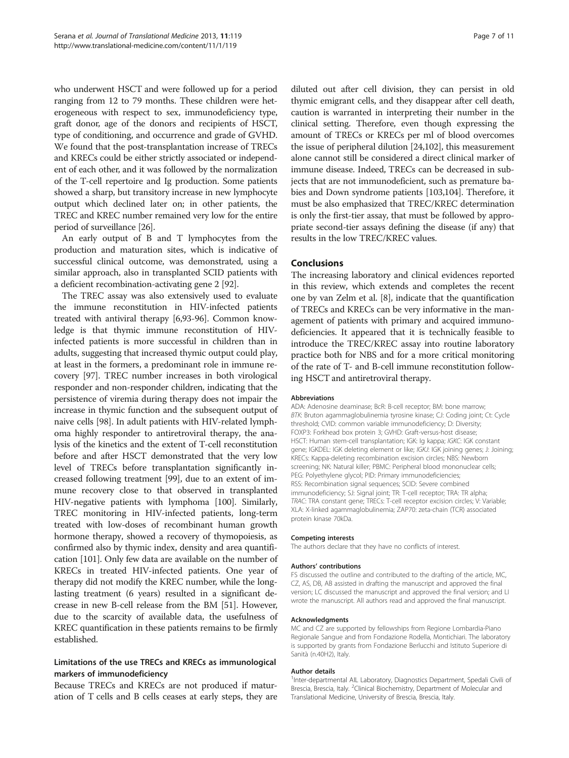who underwent HSCT and were followed up for a period ranging from 12 to 79 months. These children were heterogeneous with respect to sex, immunodeficiency type, graft donor, age of the donors and recipients of HSCT, type of conditioning, and occurrence and grade of GVHD. We found that the post-transplantation increase of TRECs and KRECs could be either strictly associated or independent of each other, and it was followed by the normalization of the T-cell repertoire and Ig production. Some patients showed a sharp, but transitory increase in new lymphocyte output which declined later on; in other patients, the TREC and KREC number remained very low for the entire period of surveillance [[26](#page-7-0)].

An early output of B and T lymphocytes from the production and maturation sites, which is indicative of successful clinical outcome, was demonstrated, using a similar approach, also in transplanted SCID patients with a deficient recombination-activating gene 2 [\[92\]](#page-9-0).

The TREC assay was also extensively used to evaluate the immune reconstitution in HIV-infected patients treated with antiviral therapy [\[6,](#page-7-0)[93-96\]](#page-9-0). Common knowledge is that thymic immune reconstitution of HIVinfected patients is more successful in children than in adults, suggesting that increased thymic output could play, at least in the formers, a predominant role in immune recovery [\[97\]](#page-9-0). TREC number increases in both virological responder and non-responder children, indicating that the persistence of viremia during therapy does not impair the increase in thymic function and the subsequent output of naive cells [[98](#page-9-0)]. In adult patients with HIV-related lymphoma highly responder to antiretroviral therapy, the analysis of the kinetics and the extent of T-cell reconstitution before and after HSCT demonstrated that the very low level of TRECs before transplantation significantly increased following treatment [\[99\]](#page-9-0), due to an extent of immune recovery close to that observed in transplanted HIV-negative patients with lymphoma [\[100](#page-9-0)]. Similarly, TREC monitoring in HIV-infected patients, long-term treated with low-doses of recombinant human growth hormone therapy, showed a recovery of thymopoiesis, as confirmed also by thymic index, density and area quantification [\[101\]](#page-9-0). Only few data are available on the number of KRECs in treated HIV-infected patients. One year of therapy did not modify the KREC number, while the longlasting treatment (6 years) resulted in a significant decrease in new B-cell release from the BM [[51](#page-8-0)]. However, due to the scarcity of available data, the usefulness of KREC quantification in these patients remains to be firmly established.

# Limitations of the use TRECs and KRECs as immunological markers of immunodeficiency

Because TRECs and KRECs are not produced if maturation of T cells and B cells ceases at early steps, they are diluted out after cell division, they can persist in old thymic emigrant cells, and they disappear after cell death, caution is warranted in interpreting their number in the clinical setting. Therefore, even though expressing the amount of TRECs or KRECs per ml of blood overcomes the issue of peripheral dilution [[24](#page-7-0),[102](#page-10-0)], this measurement alone cannot still be considered a direct clinical marker of immune disease. Indeed, TRECs can be decreased in subjects that are not immunodeficient, such as premature babies and Down syndrome patients [\[103](#page-10-0),[104](#page-10-0)]. Therefore, it must be also emphasized that TREC/KREC determination is only the first-tier assay, that must be followed by appropriate second-tier assays defining the disease (if any) that results in the low TREC/KREC values.

# Conclusions

The increasing laboratory and clinical evidences reported in this review, which extends and completes the recent one by van Zelm et al. [\[8](#page-7-0)], indicate that the quantification of TRECs and KRECs can be very informative in the management of patients with primary and acquired immunodeficiencies. It appeared that it is technically feasible to introduce the TREC/KREC assay into routine laboratory practice both for NBS and for a more critical monitoring of the rate of T- and B-cell immune reconstitution following HSCT and antiretroviral therapy.

#### Abbreviations

ADA: Adenosine deaminase; BcR: B-cell receptor; BM: bone marrow; BTK: Bruton agammaglobulinemia tyrosine kinase; CJ: Coding joint; Ct: Cycle threshold; CVID: common variable immunodeficiency; D: Diversity; FOXP3: Forkhead box protein 3; GVHD: Graft-versus-host disease; HSCT: Human stem-cell transplantation; IGK: Ig kappa; IGKC: IGK constant gene; IGKDEL: IGK deleting element or like; IGKJ: IGK joining genes; J: Joining; KRECs: Kappa-deleting recombination excision circles; NBS: Newborn screening; NK: Natural killer; PBMC: Peripheral blood mononuclear cells; PEG: Polyethylene glycol; PID: Primary immunodeficiencies; RSS: Recombination signal sequences; SCID: Severe combined immunodeficiency; SJ: Signal joint; TR: T-cell receptor; TRA: TR alpha; TRAC: TRA constant gene; TRECs: T-cell receptor excision circles; V: Variable; XLA: X-linked agammaglobulinemia; ZAP70: zeta-chain (TCR) associated protein kinase 70kDa.

#### Competing interests

The authors declare that they have no conflicts of interest.

#### Authors' contributions

FS discussed the outline and contributed to the drafting of the article, MC, CZ, AS, DB, AB assisted in drafting the manuscript and approved the final version; LC discussed the manuscript and approved the final version; and LI wrote the manuscript. All authors read and approved the final manuscript.

#### Acknowledgments

MC and CZ are supported by fellowships from Regione Lombardia-Piano Regionale Sangue and from Fondazione Rodella, Montichiari. The laboratory is supported by grants from Fondazione Berlucchi and Istituto Superiore di Sanità (n.40H2), Italy.

#### Author details

<sup>1</sup>Inter-departmental AIL Laboratory, Diagnostics Department, Spedali Civili of Brescia, Brescia, Italy. <sup>2</sup>Clinical Biochemistry, Department of Molecular and Translational Medicine, University of Brescia, Brescia, Italy.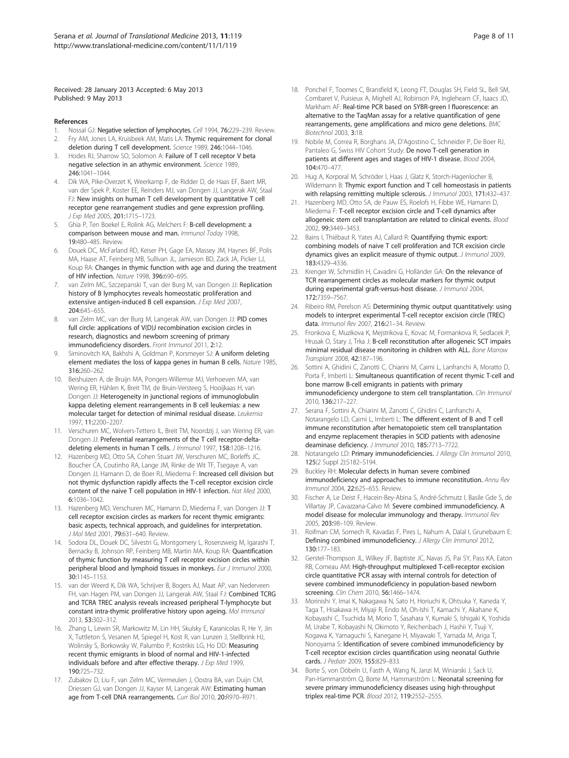<span id="page-7-0"></span>Received: 28 January 2013 Accepted: 6 May 2013 Published: 9 May 2013

#### References

- Nossal GJ: Negative selection of lymphocytes. Cell 1994, 76:229-239. Review.
- 2. Fry AM, Jones LA, Kruisbeek AM, Matis LA: Thymic requirement for clonal deletion during T cell development. Science 1989, 246:1044–1046.
- Hodes RJ, Sharrow SO, Solomon A: Failure of T cell receptor V beta negative selection in an athymic environment. Science 1989, 246:1041–1044.
- Dik WA, Pike-Overzet K, Weerkamp F, de Ridder D, de Haas EF, Baert MR, van der Spek P, Koster EE, Reinders MJ, van Dongen JJ, Langerak AW, Staal FJ: New insights on human T cell development by quantitative T cell receptor gene rearrangement studies and gene expression profiling. J Exp Med 2005, 201:1715–1723.
- 5. Ghia P, Ten Boekel E, Rolink AG, Melchers F: B-cell development: a comparison between mouse and man. Immunol Today 1998, 19:480–485. Review.
- 6. Douek DC, McFarland RD, Keiser PH, Gage EA, Massey JM, Haynes BF, Polis MA, Haase AT, Feinberg MB, Sullivan JL, Jamieson BD, Zack JA, Picker LJ, Koup RA: Changes in thymic function with age and during the treatment of HIV infection. Nature 1998, 396:690–695.
- 7. van Zelm MC, Szczepanski T, van der Burg M, van Dongen JJ: Replication history of B lymphocytes reveals homeostatic proliferation and extensive antigen-induced B cell expansion. J Exp Med 2007, 204:645–655.
- 8. van Zelm MC, van der Burg M, Langerak AW, van Dongen JJ: PID comes full circle: applications of V(D)J recombination excision circles in research, diagnostics and newborn screening of primary immunodeficiency disorders. Front Immunol 2011, 2:12.
- Siminovitch KA, Bakhshi A, Goldman P, Korsmeyer SJ: A uniform deleting element mediates the loss of kappa genes in human B cells. Nature 1985, 316:260–262.
- 10. Beishuizen A, de Bruijn MA, Pongers-Willemse MJ, Verhoeven MA, van Wering ER, Hählen K, Breit TM, de Bruin-Versteeg S, Hooijkaas H, van Dongen JJ: Heterogeneity in junctional regions of immunoglobulin kappa deleting element rearrangements in B cell leukemias: a new molecular target for detection of minimal residual disease. Leukemia 1997, 11:2200–2207.
- 11. Verschuren MC, Wolvers-Tettero IL, Breit TM, Noordzij J, van Wering ER, van Dongen JJ: Preferential rearrangements of the T cell receptor-deltadeleting elements in human T cells. J Immunol 1997, 158:1208–1216.
- 12. Hazenberg MD, Otto SA, Cohen Stuart JW, Verschuren MC, Borleffs JC, Boucher CA, Coutinho RA, Lange JM, Rinke de Wit TF, Tsegaye A, van Dongen JJ, Hamann D, de Boer RJ, Miedema F: Increased cell division but not thymic dysfunction rapidly affects the T-cell receptor excision circle content of the naive T cell population in HIV-1 infection. Nat Med 2000, 6:1036–1042.
- 13. Hazenberg MD, Verschuren MC, Hamann D, Miedema F, van Dongen JJ: T cell receptor excision circles as markers for recent thymic emigrants: basic aspects, technical approach, and guidelines for interpretation. J Mol Med 2001, 79:631-640. Review.
- 14. Sodora DL, Douek DC, Silvestri G, Montgomery L, Rosenzweig M, Igarashi T, Bernacky B, Johnson RP, Feinberg MB, Martin MA, Koup RA: Quantification of thymic function by measuring T cell receptor excision circles within peripheral blood and lymphoid tissues in monkeys. Eur J Immunol 2000, 30:1145–1153.
- 15. van der Weerd K, Dik WA, Schrijver B, Bogers AJ, Maat AP, van Nederveen FH, van Hagen PM, van Dongen JJ, Langerak AW, Staal FJ: Combined TCRG and TCRA TREC analysis reveals increased peripheral T-lymphocyte but constant intra-thymic proliferative history upon ageing. Mol Immunol 2013, 53:302–312.
- 16. Zhang L, Lewin SR, Markowitz M, Lin HH, Skulsky E, Karanicolas R, He Y, Jin X, Tuttleton S, Vesanen M, Spiegel H, Kost R, van Lunzen J, Stellbrink HJ, Wolinsky S, Borkowsky W, Palumbo P, Kostrikis LG, Ho DD: Measuring recent thymic emigrants in blood of normal and HIV-1-infected individuals before and after effective therapy. J Exp Med 1999, 190:725–732.
- 17. Zubakov D, Liu F, van Zelm MC, Vermeulen J, Oostra BA, van Duijn CM, Driessen GJ, van Dongen JJ, Kayser M, Langerak AW: Estimating human age from T-cell DNA rearrangements. Curr Biol 2010, 20:R970–R971.
- 18. Ponchel F, Toomes C, Bransfield K, Leong FT, Douglas SH, Field SL, Bell SM, Combaret V, Puisieux A, Mighell AJ, Robinson PA, Inglehearn CF, Isaacs JD, Markham AF: Real-time PCR based on SYBR-green I fluorescence: an alternative to the TaqMan assay for a relative quantification of gene rearrangements, gene amplifications and micro gene deletions. BMC Biotechnol 2003, 3:18.
- 19. Nobile M, Correa R, Borghans JA, D'Agostino C, Schneider P, De Boer RJ, Pantaleo G, Swiss HIV Cohort Study: De novo T-cell generation in patients at different ages and stages of HIV-1 disease. Blood 2004, 104:470–477.
- 20. Hug A, Korporal M, Schröder I, Haas J, Glatz K, Storch-Hagenlocher B, Wildemann B: Thymic export function and T cell homeostasis in patients with relapsing remitting multiple sclerosis. J Immunol 2003, 171:432-437.
- 21. Hazenberg MD, Otto SA, de Pauw ES, Roelofs H, Fibbe WE, Hamann D, Miedema F: T-cell receptor excision circle and T-cell dynamics after allogeneic stem cell transplantation are related to clinical events. Blood 2002, 99:3449–3453.
- 22. Bains I, Thiébaut R, Yates AJ, Callard R: Quantifying thymic export: combining models of naive T cell proliferation and TCR excision circle dynamics gives an explicit measure of thymic output. J Immunol 2009, 183:4329–4336.
- 23. Krenger W, Schmidlin H, Cavadini G, Holländer GA: On the relevance of TCR rearrangement circles as molecular markers for thymic output during experimental graft-versus-host disease. J Immunol 2004, 172:7359–7567.
- 24. Ribeiro RM, Perelson AS: Determining thymic output quantitatively: using models to interpret experimental T-cell receptor excision circle (TREC) data. Immunol Rev 2007, 216:21–34. Review.
- 25. Fronkova E, Muzikova K, Mejstrikova E, Kovac M, Formankova R, Sedlacek P, Hrusak O, Stary J, Trka J: B-cell reconstitution after allogeneic SCT impairs minimal residual disease monitoring in children with ALL. Bone Marrow Transplant 2008, 42:187–196.
- 26. Sottini A, Ghidini C, Zanotti C, Chiarini M, Caimi L, Lanfranchi A, Moratto D, Porta F, Imberti L: Simultaneous quantification of recent thymic T-cell and bone marrow B-cell emigrants in patients with primary immunodeficiency undergone to stem cell transplantation. Clin Immunol 2010, 136:217–227.
- 27. Serana F, Sottini A, Chiarini M, Zanotti C, Ghidini C, Lanfranchi A, Notarangelo LD, Caimi L, Imberti L: The different extent of B and T cell immune reconstitution after hematopoietic stem cell transplantation and enzyme replacement therapies in SCID patients with adenosine deaminase deficiency. J Immunol 2010, 185:7713-7722.
- 28. Notarangelo LD: Primary immunodeficiencies. J Allergy Clin Immunol 2010, 125(2 Suppl 2):S182–S194.
- 29. Buckley RH: Molecular defects in human severe combined immunodeficiency and approaches to immune reconstitution. Annu Rev Immunol 2004, 22:625–655. Review.
- 30. Fischer A, Le Deist F, Hacein-Bey-Abina S, André-Schmutz I, Basile Gde S, de Villartay JP, Cavazzana-Calvo M: Severe combined immunodeficiency. A model disease for molecular immunology and therapy. Immunol Rev 2005, 203:98–109. Review.
- 31. Roifman CM, Somech R, Kavadas F, Pires L, Nahum A, Dalal I, Grunebaum E: Defining combined immunodeficiency. J Allergy Clin Immunol 2012, 130:177–183.
- 32. Gerstel-Thompson JL, Wilkey JF, Baptiste JC, Navas JS, Pai SY, Pass KA, Eaton RB, Comeau AM: High-throughput multiplexed T-cell-receptor excision circle quantitative PCR assay with internal controls for detection of severe combined immunodeficiency in population-based newborn screening. Clin Chem 2010, 56:1466–1474.
- 33. Morinishi Y, Imai K, Nakagawa N, Sato H, Horiuchi K, Ohtsuka Y, Kaneda Y, Taga T, Hisakawa H, Miyaji R, Endo M, Oh-Ishi T, Kamachi Y, Akahane K, Kobayashi C, Tsuchida M, Morio T, Sasahara Y, Kumaki S, Ishigaki K, Yoshida M, Urabe T, Kobayashi N, Okimoto Y, Reichenbach J, Hashii Y, Tsuji Y, Kogawa K, Yamaguchi S, Kanegane H, Miyawaki T, Yamada M, Ariga T, Nonoyama S: Identification of severe combined immunodeficiency by T-cell receptor excision circles quantification using neonatal Guthrie cards. J Pediatr 2009, 155:829–833.
- 34. Borte S, von Döbeln U, Fasth A, Wang N, Janzi M, Winiarski J, Sack U, Pan-Hammarström Q, Borte M, Hammarström L: Neonatal screening for severe primary immunodeficiency diseases using high-throughput triplex real-time PCR. Blood 2012, 119:2552–2555.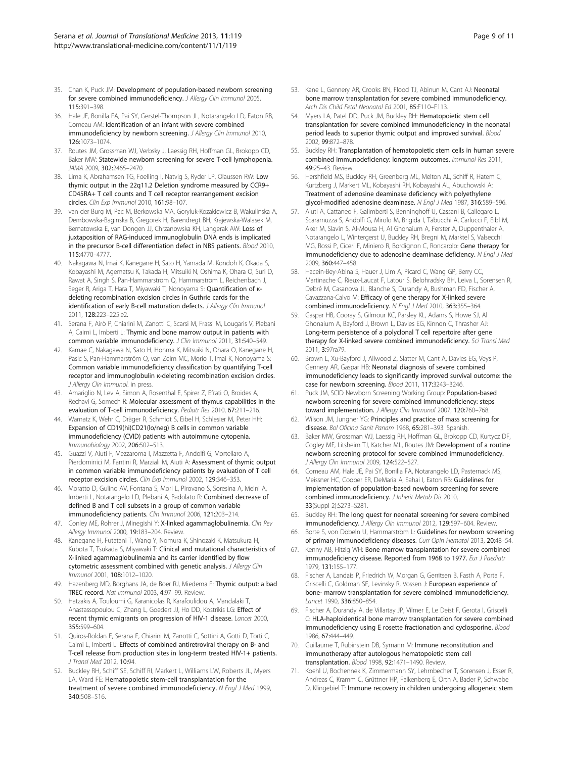- <span id="page-8-0"></span>35. Chan K, Puck JM: Development of population-based newborn screening for severe combined immunodeficiency. J Allergy Clin Immunol 2005, 115:391–398.
- 36. Hale JE, Bonilla FA, Pai SY, Gerstel-Thompson JL, Notarangelo LD, Eaton RB, Comeau AM: Identification of an infant with severe combined immunodeficiency by newborn screening. J Allergy Clin Immunol 2010, 126:1073–1074.
- 37. Routes JM, Grossman WJ, Verbsky J, Laessig RH, Hoffman GL, Brokopp CD, Baker MW: Statewide newborn screening for severe T-cell lymphopenia. JAMA 2009, 302:2465–2470.
- 38. Lima K, Abrahamsen TG, Foelling I, Natvig S, Ryder LP, Olaussen RW: Low thymic output in the 22q11.2 Deletion syndrome measured by CCR9+ CD45RA+ T cell counts and T cell receptor rearrangement excision circles. Clin Exp Immunol 2010, 161:98–107.
- 39. van der Burg M, Pac M, Berkowska MA, Goryluk-Kozakiewicz B, Wakulinska A, Dembowska-Baginska B, Gregorek H, Barendregt BH, Krajewska-Walasek M, Bernatowska E, van Dongen JJ, Chrzanowska KH, Langerak AW: Loss of juxtaposition of RAG-induced immunoglobulin DNA ends is implicated in the precursor B-cell differentiation defect in NBS patients. Blood 2010, 115:4770–4777.
- 40. Nakagawa N, Imai K, Kanegane H, Sato H, Yamada M, Kondoh K, Okada S, Kobayashi M, Agematsu K, Takada H, Mitsuiki N, Oshima K, Ohara O, Suri D, Rawat A, Singh S, Pan-Hammarström Q, Hammarström L, Reichenbach J, Seger R, Ariga T, Hara T, Miyawaki T, Nonoyama S: Quantification of κdeleting recombination excision circles in Guthrie cards for the identification of early B-cell maturation defects. J Allergy Clin Immunol 2011, 128:223–225.e2.
- 41. Serana F, Airò P, Chiarini M, Zanotti C, Scarsi M, Frassi M, Lougaris V, Plebani A, Caimi L, Imberti L: Thymic and bone marrow output in patients with common variable immunodeficiency. J Clin Immunol 2011, 31:540–549.
- 42. Kamae C, Nakagawa N, Sato H, Honma K, Mitsuiki N, Ohara O, Kanegane H, Pasic S, Pan-Hammarström Q, van Zelm MC, Morio T, Imai K, Nonoyama S: Common variable immunodeficiency classification by quantifying T-cell receptor and immunoglobulin κ-deleting recombination excision circles. J Allergy Clin Immunol. in press.
- 43. Amariglio N, Lev A, Simon A, Rosenthal E, Spirer Z, Efrati O, Broides A, Rechavi G, Somech R: Molecular assessment of thymus capabilities in the evaluation of T-cell immunodeficiency. Pediatr Res 2010, 67:211–216.
- 44. Warnatz K, Wehr C, Dräger R, Schmidt S, Eibel H, Schlesier M, Peter HH: Expansion of CD19(hi)CD21(lo/neg) B cells in common variable immunodeficiency (CVID) patients with autoimmune cytopenia. Immunobiology 2002, 206:502–513.
- 45. Guazzi V, Aiuti F, Mezzaroma I, Mazzetta F, Andolfi G, Mortellaro A, Pierdominici M, Fantini R, Marziali M, Aiuti A: Assessment of thymic output in common variable immunodeficiency patients by evaluation of T cell receptor excision circles. Clin Exp Immunol 2002, 129:346–353.
- 46. Moratto D, Gulino AV, Fontana S, Mori L, Pirovano S, Soresina A, Meini A, Imberti L, Notarangelo LD, Plebani A, Badolato R: Combined decrease of defined B and T cell subsets in a group of common variable immunodeficiency patients. Clin Immunol 2006, 121:203–214.
- 47. Conley ME, Rohrer J, Minegishi Y: X-linked agammaglobulinemia. Clin Rev Allergy Immunol 2000, 19:183–204. Review.
- 48. Kanegane H, Futatani T, Wang Y, Nomura K, Shinozaki K, Matsukura H, Kubota T, Tsukada S, Miyawaki T: Clinical and mutational characteristics of X-linked agammaglobulinemia and its carrier identified by flow cytometric assessment combined with genetic analysis. J Allergy Clin Immunol 2001, 108:1012–1020.
- 49. Hazenberg MD, Borghans JA, de Boer RJ, Miedema F: Thymic output: a bad TREC record. Nat Immunol 2003, 4:97–99. Review.
- 50. Hatzakis A, Touloumi G, Karanicolas R, Karafoulidou A, Mandalaki T, Anastassopoulou C, Zhang L, Goedert JJ, Ho DD, Kostrikis LG: Effect of recent thymic emigrants on progression of HIV-1 disease. Lancet 2000, 355:599–604.
- 51. Quiros-Roldan E, Serana F, Chiarini M, Zanotti C, Sottini A, Gotti D, Torti C, Caimi L, Imberti L: Effects of combined antiretroviral therapy on B- and T-cell release from production sites in long-term treated HIV-1+ patients. J Transl Med 2012, 10:94.
- 52. Buckley RH, Schiff SE, Schiff RI, Markert L, Williams LW, Roberts JL, Myers LA, Ward FE: Hematopoietic stem-cell transplantation for the treatment of severe combined immunodeficiency. N Engl J Med 1999, 340:508–516.
- 53. Kane L, Gennery AR, Crooks BN, Flood TJ, Abinun M, Cant AJ: Neonatal bone marrow transplantation for severe combined immunodeficiency. Arch Dis Child Fetal Neonatal Ed 2001, 85:F110–F113.
- 54. Myers LA, Patel DD, Puck JM, Buckley RH: Hematopoietic stem cell transplantation for severe combined immunodeficiency in the neonatal period leads to superior thymic output and improved survival. Blood 2002, 99:872–878.
- 55. Buckley RH: Transplantation of hematopoietic stem cells in human severe combined immunodeficiency: longterm outcomes. Immunol Res 2011, 49:25–43. Review.
- 56. Hershfield MS, Buckley RH, Greenberg ML, Melton AL, Schiff R, Hatem C, Kurtzberg J, Markert ML, Kobayashi RH, Kobayashi AL, Abuchowski A: Treatment of adenosine deaminase deficiency with polyethylene glycol-modified adenosine deaminase. N Engl J Med 1987, 316:589–596.
- 57. Aiuti A, Cattaneo F, Galimberti S, Benninghoff U, Cassani B, Callegaro L, Scaramuzza S, Andolfi G, Mirolo M, Brigida I, Tabucchi A, Carlucci F, Eibl M, Aker M, Slavin S, Al-Mousa H, Al Ghonaium A, Ferster A, Duppenthaler A, Notarangelo L, Wintergerst U, Buckley RH, Bregni M, Marktel S, Valsecchi MG, Rossi P, Ciceri F, Miniero R, Bordignon C, Roncarolo: Gene therapy for immunodeficiency due to adenosine deaminase deficiency. N Engl J Med 2009, 360:447–458.
- 58. Hacein-Bey-Abina S, Hauer J, Lim A, Picard C, Wang GP, Berry CC, Martinache C, Rieux-Laucat F, Latour S, Belohradsky BH, Leiva L, Sorensen R, Debré M, Casanova JL, Blanche S, Durandy A, Bushman FD, Fischer A, Cavazzana-Calvo M: Efficacy of gene therapy for X-linked severe combined immunodeficiency. N Engl J Med 2010, 363:355–364.
- 59. Gaspar HB, Cooray S, Gilmour KC, Parsley KL, Adams S, Howe SJ, Al Ghonaium A, Bayford J, Brown L, Davies EG, Kinnon C, Thrasher AJ: Long-term persistence of a polyclonal T cell repertoire after gene therapy for X-linked severe combined immunodeficiency. Sci Transl Med 2011, 3:97ra79.
- Brown L, Xu-Bayford J, Allwood Z, Slatter M, Cant A, Davies EG, Veys P, Gennery AR, Gaspar HB: Neonatal diagnosis of severe combined immunodeficiency leads to significantly improved survival outcome: the case for newborn screening. Blood 2011, 117:3243–3246.
- 61. Puck JM, SCID Newborn Screening Working Group: Population-based newborn screening for severe combined immunodeficiency: steps toward implementation. J Allergy Clin Immunol 2007, 120:760-768.
- Wilson JM, Jungner YG: Principles and practice of mass screening for disease. Bol Oficina Sanit Panam 1968, 65:281–393. Spanish.
- 63. Baker MW, Grossman WJ, Laessig RH, Hoffman GL, Brokopp CD, Kurtycz DF, Cogley MF, Litsheim TJ, Katcher ML, Routes JM: Development of a routine newborn screening protocol for severe combined immunodeficiency. J Allergy Clin Immunol 2009, 124:522–527.
- 64. Comeau AM, Hale JE, Pai SY, Bonilla FA, Notarangelo LD, Pasternack MS, Meissner HC, Cooper ER, DeMaria A, Sahai I, Eaton RB: Guidelines for implementation of population-based newborn screening for severe combined immunodeficiency. J Inherit Metab Dis 2010, 33(Suppl 2):S273–S281.
- 65. Buckley RH: The long quest for neonatal screening for severe combined immunodeficiency. J Allergy Clin Immunol 2012, 129:597-604. Review.
- 66. Borte S, von Döbeln U, Hammarström L: Guidelines for newborn screening of primary immunodeficiency diseases. Curr Opin Hematol 2013, 20:48–54.
- 67. Kenny AB, Hitzig WH: Bone marrow transplantation for severe combined immunodeficiency disease. Reported from 1968 to 1977. Eur J Paediatr 1979, 131:155–177.
- 68. Fischer A, Landais P, Friedrich W, Morgan G, Gerritsen B, Fasth A, Porta F, Griscelli C, Goldman SF, Levinsky R, Vossen J: European experience of bone- marrow transplantation for severe combined immunodeficiency. Lancet 1990, 336:850–854.
- 69. Fischer A, Durandy A, de Villartay JP, Vilmer E, Le Deist F, Gerota I, Griscelli C: HLA-haploidentical bone marrow transplantation for severe combined immunodeficiency using E rosette fractionation and cyclosporine. Blood 1986, 67:444–449.
- 70. Guillaume T, Rubinstein DB, Symann M: Immune reconstitution and immunotherapy after autologous hematopoietic stem cell transplantation. Blood 1998, 92:1471–1490. Review.
- 71. Koehl U, Bochennek K, Zimmermann SY, Lehrnbecher T, Sorensen J, Esser R, Andreas C, Kramm C, Grüttner HP, Falkenberg E, Orth A, Bader P, Schwabe D, Klingebiel T: Immune recovery in children undergoing allogeneic stem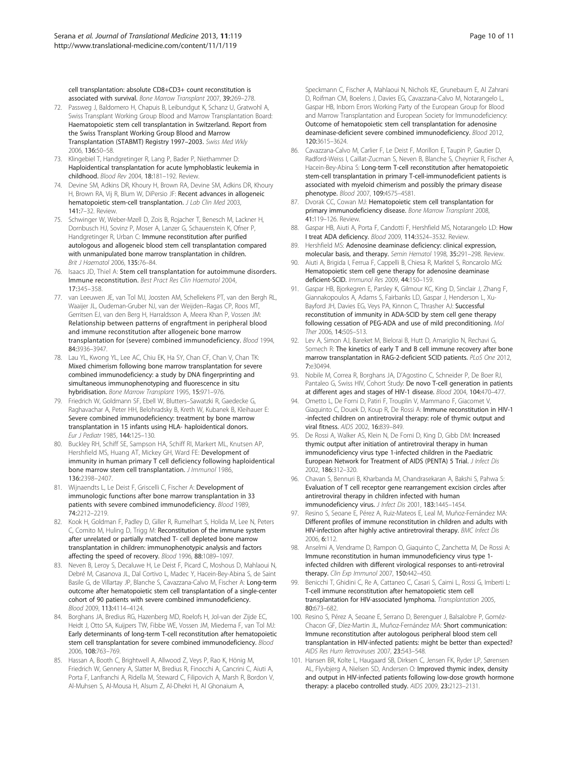<span id="page-9-0"></span>cell transplantation: absolute CD8+CD3+ count reconstitution is associated with survival. Bone Marrow Transplant 2007, 39:269–278.

- 72. Passweg J, Baldomero H, Chapuis B, Leibundgut K, Schanz U, Gratwohl A, Swiss Transplant Working Group Blood and Marrow Transplantation Board: Haematopoietic stem cell transplantation in Switzerland. Report from the Swiss Transplant Working Group Blood and Marrow Transplantation (STABMT) Registry 1997–2003. Swiss Med Wkly 2006, 136:50–58.
- 73. Klingebiel T, Handgretinger R, Lang P, Bader P, Niethammer D: Haploidentical transplantation for acute lymphoblastic leukemia in childhood. Blood Rev 2004, 18:181-192. Review.
- 74. Devine SM, Adkins DR, Khoury H, Brown RA, Devine SM, Adkins DR, Khoury H, Brown RA, Vij R, Blum W, DiPersio JF: Recent advances in allogeneic hematopoietic stem-cell transplantation. *J Lab Clin Med* 2003, 141:7–32. Review.
- 75. Schwinger W, Weber-Mzell D, Zois B, Rojacher T, Benesch M, Lackner H, Dornbusch HJ, Sovinz P, Moser A, Lanzer G, Schauenstein K, Ofner P, Handgretinger R, Urban C: Immune reconstitution after purified autologous and allogeneic blood stem cell transplantation compared with unmanipulated bone marrow transplantation in children. Brit J Haematol 2006, 135:76–84.
- 76. Isaacs JD, Thiel A: Stem cell transplantation for autoimmune disorders. Immune reconstitution. Best Pract Res Clin Haematol 2004, 17:345–358.
- 77. van Leeuwen JE, van Tol MJ, Joosten AM, Schellekens PT, van den Bergh RL, Waaijer JL, Oudeman-Gruber NJ, van der Weijden–Ragas CP, Roos MT, Gerritsen EJ, van den Berg H, Harraldsson A, Meera Khan P, Vossen JM: Relationship between patterns of engraftment in peripheral blood and immune reconstitution after allogeneic bone marrow transplantation for (severe) combined immunodeficiency. Blood 1994, 84:3936–3947.
- 78. Lau YL, Kwong YL, Lee AC, Chiu EK, Ha SY, Chan CF, Chan V, Chan TK: Mixed chimerism following bone marrow transplantation for severe combined immunodeficiency: a study by DNA fingerprinting and simultaneous immunophenotyping and fluorescence in situ hybridisation. Bone Marrow Transplant 1995, 15:971–976.
- 79. Friedrich W, Goldmann SF, Ebell W, Blutters–Sawatzki R, Gaedecke G, Raghavachar A, Peter HH, Belohradsky B, Kreth W, Kubanek B, Kleihauer E: Severe combined immunodeficiency: treatment by bone marrow transplantation in 15 infants using HLA- haploidentical donors. Eur J Pediatr 1985, 144:125–130.
- 80. Buckley RH, Schiff SE, Sampson HA, Schiff RI, Markert ML, Knutsen AP, Hershfield MS, Huang AT, Mickey GH, Ward FE: Development of immunity in human primary T cell deficiency following haploidentical bone marrow stem cell transplantation. *J Immunol* 1986, 136:2398–2407.
- 81. Wijnaendts L, Le Deist F, Griscelli C, Fischer A: Development of immunologic functions after bone marrow transplantation in 33 patients with severe combined immunodeficiency. Blood 1989, 74:2212–2219.
- 82. Kook H, Goldman F, Padley D, Giller R, Rumelhart S, Holida M, Lee N, Peters C, Comito M, Huling D, Trigg M: Reconstitution of the immune system after unrelated or partially matched T- cell depleted bone marrow transplantation in children: immunophenotypic analysis and factors affecting the speed of recovery. Blood 1996, 88:1089–1097.
- 83. Neven B, Leroy S, Decaluwe H, Le Deist F, Picard C, Moshous D, Mahlaoui N, Debré M, Casanova JL, Dal Cortivo L, Madec Y, Hacein-Bey-Abina S, de Saint Basile G, de Villartay JP, Blanche S, Cavazzana-Calvo M, Fischer A: Long-term outcome after hematopoietic stem cell transplantation of a single-center cohort of 90 patients with severe combined immunodeficiency. Blood 2009, 113:4114–4124.
- 84. Borghans JA, Bredius RG, Hazenberg MD, Roelofs H, Jol-van der Zijde EC, Heidt J, Otto SA, Kuijpers TW, Fibbe WE, Vossen JM, Miedema F, van Tol MJ: Early determinants of long-term T-cell reconstitution after hematopoietic stem cell transplantation for severe combined immunodeficiency. Blood 2006, 108:763–769.
- 85. Hassan A, Booth C, Brightwell A, Allwood Z, Veys P, Rao K, Hönig M, Friedrich W, Gennery A, Slatter M, Bredius R, Finocchi A, Cancrini C, Aiuti A, Porta F, Lanfranchi A, Ridella M, Steward C, Filipovich A, Marsh R, Bordon V, Al-Muhsen S, Al-Mousa H, Alsum Z, Al-Dhekri H, Al Ghonaium A,

Speckmann C, Fischer A, Mahlaoui N, Nichols KE, Grunebaum E, Al Zahrani D, Roifman CM, Boelens J, Davies EG, Cavazzana-Calvo M, Notarangelo L, Gaspar HB, Inborn Errors Working Party of the European Group for Blood and Marrow Transplantation and European Society for Immunodeficiency: Outcome of hematopoietic stem cell transplantation for adenosine deaminase-deficient severe combined immunodeficiency. Blood 2012, 120:3615–3624.

- 86. Cavazzana-Calvo M, Carlier F, Le Deist F, Morillon E, Taupin P, Gautier D, Radford-Weiss I, Caillat-Zucman S, Neven B, Blanche S, Cheynier R, Fischer A, Hacein-Bey-Abina S: Long-term T-cell reconstitution after hematopoietic stem-cell transplantation in primary T-cell-immunodeficient patients is associated with myeloid chimerism and possibly the primary disease phenotype. Blood 2007, 109:4575–4581.
- 87. Dvorak CC, Cowan MJ: Hematopoietic stem cell transplantation for primary immunodeficiency disease. Bone Marrow Transplant 2008, 41:119–126. Review.
- 88. Gaspar HB, Aiuti A, Porta F, Candotti F, Hershfield MS, Notarangelo LD: How I treat ADA deficiency. Blood 2009, 114:3524–3532. Review.
- 89. Hershfield MS: Adenosine deaminase deficiency: clinical expression, molecular basis, and therapy. Semin Hematol 1998, 35:291–298. Review.
- 90. Aiuti A, Brigida I, Ferrua F, Cappelli B, Chiesa R, Marktel S, Roncarolo MG: Hematopoietic stem cell gene therapy for adenosine deaminase deficient-SCID. Immunol Res 2009, 44:150–159.
- 91. Gaspar HB, Bjorkegren E, Parsley K, Gilmour KC, King D, Sinclair J, Zhang F, Giannakopoulos A, Adams S, Fairbanks LD, Gaspar J, Henderson L, Xu-Bayford JH, Davies EG, Veys PA, Kinnon C, Thrasher AJ: Successful reconstitution of immunity in ADA-SCID by stem cell gene therapy following cessation of PEG-ADA and use of mild preconditioning. Mol Ther 2006, 14:505–513.
- 92. Lev A, Simon AJ, Bareket M, Bielorai B, Hutt D, Amariglio N, Rechavi G, Somech R: The kinetics of early T and B cell immune recovery after bone marrow transplantation in RAG-2-deficient SCID patients. PLoS One 2012, 7:e30494.
- 93. Nobile M, Correa R, Borghans JA, D'Agostino C, Schneider P, De Boer RJ, Pantaleo G, Swiss HIV, Cohort Study: De novo T-cell generation in patients at different ages and stages of HIV-1 disease. Blood 2004, 104:470–477.
- 94. Ometto L, De Forni D, Patiri F, Trouplin V, Mammano F, Giacomet V, Giaquinto C, Douek D, Koup R, De Rossi A: Immune reconstitution in HIV-1 -infected children on antiretroviral therapy: role of thymic output and viral fitness. AIDS 2002, 16:839–849.
- 95. De Rossi A, Walker AS, Klein N, De Forni D, King D, Gibb DM: Increased thymic output after initiation of antiretroviral therapy in human immunodeficiency virus type 1-infected children in the Paediatric European Network for Treatment of AIDS (PENTA) 5 Trial. J Infect Dis 2002, 186:312–320.
- 96. Chavan S, Bennuri B, Kharbanda M, Chandrasekaran A, Bakshi S, Pahwa S: Evaluation of T cell receptor gene rearrangement excision circles after antiretroviral therapy in children infected with human immunodeficiency virus. J Infect Dis 2001, 183:1445–1454.
- 97. Resino S, Seoane E, Pérez A, Ruiz-Mateos E, Leal M, Muñoz-Fernández MA: Different profiles of immune reconstitution in children and adults with HIV-infection after highly active antiretroviral therapy. BMC Infect Dis 2006, 6:112.
- 98. Anselmi A, Vendrame D, Rampon O, Giaquinto C, Zanchetta M, De Rossi A: Immune reconstitution in human immunodeficiency virus type 1 infected children with different virological responses to anti-retroviral therapy. Clin Exp Immunol 2007, 150:442–450.
- 99. Benicchi T, Ghidini C, Re A, Cattaneo C, Casari S, Caimi L, Rossi G, Imberti L: T-cell immune reconstitution after hematopoietic stem cell transplantation for HIV-associated lymphoma. Transplantation 2005. 80:673–682.
- 100. Resino S, Pérez A, Seoane E, Serrano D, Berenguer J, Balsalobre P, Goméz-Chacon GF, Díez-Martin JL, Muñoz-Fernández MA: Short communication: Immune reconstitution after autologous peripheral blood stem cell transplantation in HIV-infected patients: might be better than expected? AIDS Res Hum Retroviruses 2007, 23:543–548.
- 101. Hansen BR, Kolte L, Haugaard SB, Dirksen C, Jensen FK, Ryder LP, Sørensen AL, Flyvbjerg A, Nielsen SD, Andersen O: Improved thymic index, density and output in HIV-infected patients following low-dose growth hormone therapy: a placebo controlled study. AIDS 2009, 23:2123–2131.